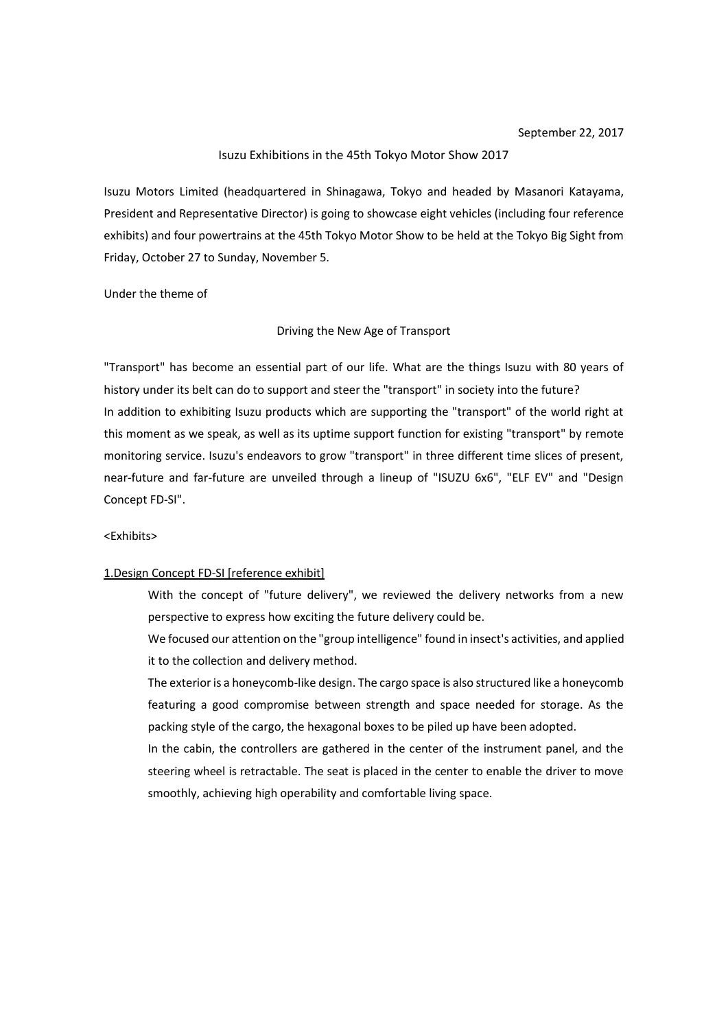## Isuzu Exhibitions in the 45th Tokyo Motor Show 2017

Isuzu Motors Limited (headquartered in Shinagawa, Tokyo and headed by Masanori Katayama, President and Representative Director) is going to showcase eight vehicles (including four reference exhibits) and four powertrains at the 45th Tokyo Motor Show to be held at the Tokyo Big Sight from Friday, October 27 to Sunday, November 5.

Under the theme of

#### Driving the New Age of Transport

"Transport" has become an essential part of our life. What are the things Isuzu with 80 years of history under its belt can do to support and steer the "transport" in society into the future? In addition to exhibiting Isuzu products which are supporting the "transport" of the world right at this moment as we speak, as well as its uptime support function for existing "transport" by remote monitoring service. Isuzu's endeavors to grow "transport" in three different time slices of present, near-future and far-future are unveiled through a lineup of "ISUZU 6x6", "ELF EV" and "Design Concept FD-SI".

### <Exhibits>

### 1.Design Concept FD-SI [reference exhibit]

- With the concept of "future delivery", we reviewed the delivery networks from a new perspective to express how exciting the future delivery could be.
- We focused our attention on the "group intelligence" found in insect's activities, and applied it to the collection and delivery method.
- The exterior is a honeycomb-like design. The cargo space is also structured like a honeycomb featuring a good compromise between strength and space needed for storage. As the packing style of the cargo, the hexagonal boxes to be piled up have been adopted.
- In the cabin, the controllers are gathered in the center of the instrument panel, and the steering wheel is retractable. The seat is placed in the center to enable the driver to move smoothly, achieving high operability and comfortable living space.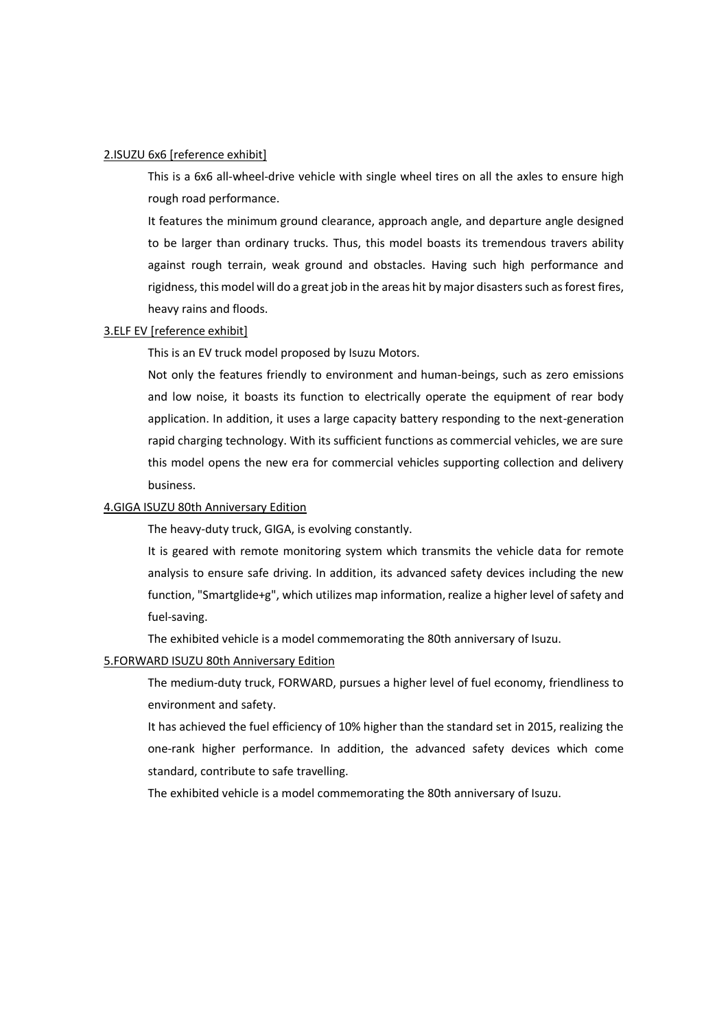## 2.ISUZU 6x6 [reference exhibit]

This is a 6x6 all-wheel-drive vehicle with single wheel tires on all the axles to ensure high rough road performance.

It features the minimum ground clearance, approach angle, and departure angle designed to be larger than ordinary trucks. Thus, this model boasts its tremendous travers ability against rough terrain, weak ground and obstacles. Having such high performance and rigidness, this model will do a great job in the areas hit by major disasters such as forest fires, heavy rains and floods.

## 3.ELF EV [reference exhibit]

This is an EV truck model proposed by Isuzu Motors.

Not only the features friendly to environment and human-beings, such as zero emissions and low noise, it boasts its function to electrically operate the equipment of rear body application. In addition, it uses a large capacity battery responding to the next-generation rapid charging technology. With its sufficient functions as commercial vehicles, we are sure this model opens the new era for commercial vehicles supporting collection and delivery business.

## 4.GIGA ISUZU 80th Anniversary Edition

The heavy-duty truck, GIGA, is evolving constantly.

It is geared with remote monitoring system which transmits the vehicle data for remote analysis to ensure safe driving. In addition, its advanced safety devices including the new function, "Smartglide+g", which utilizes map information, realize a higher level of safety and fuel-saving.

The exhibited vehicle is a model commemorating the 80th anniversary of Isuzu.

## 5.FORWARD ISUZU 80th Anniversary Edition

The medium-duty truck, FORWARD, pursues a higher level of fuel economy, friendliness to environment and safety.

It has achieved the fuel efficiency of 10% higher than the standard set in 2015, realizing the one-rank higher performance. In addition, the advanced safety devices which come standard, contribute to safe travelling.

The exhibited vehicle is a model commemorating the 80th anniversary of Isuzu.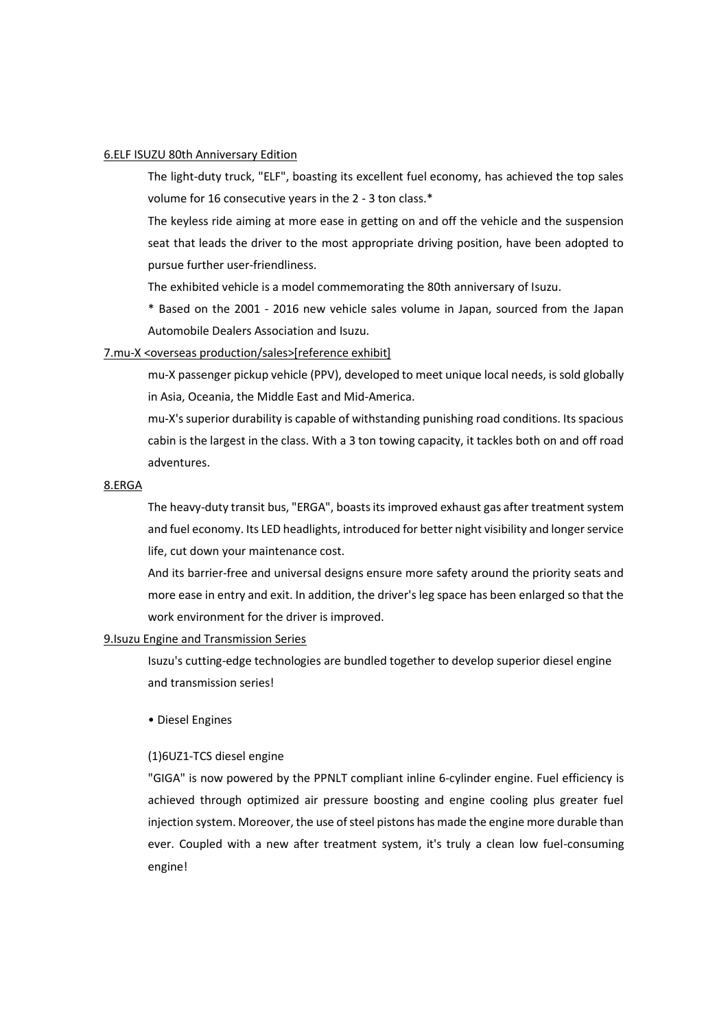## 6.ELF ISUZU 80th Anniversary Edition

The light-duty truck, "ELF", boasting its excellent fuel economy, has achieved the top sales volume for 16 consecutive years in the 2 - 3 ton class.\*

The keyless ride aiming at more ease in getting on and off the vehicle and the suspension seat that leads the driver to the most appropriate driving position, have been adopted to pursue further user-friendliness.

The exhibited vehicle is a model commemorating the 80th anniversary of Isuzu.

\* Based on the 2001 - 2016 new vehicle sales volume in Japan, sourced from the Japan Automobile Dealers Association and Isuzu.

# 7.mu-X <overseas production/sales>[reference exhibit]

mu-X passenger pickup vehicle (PPV), developed to meet unique local needs, is sold globally in Asia, Oceania, the Middle East and Mid-America.

mu-X's superior durability is capable of withstanding punishing road conditions. Its spacious cabin is the largest in the class. With a 3 ton towing capacity, it tackles both on and off road adventures.

### 8.ERGA

The heavy-duty transit bus, "ERGA", boasts its improved exhaust gas after treatment system and fuel economy. Its LED headlights, introduced for better night visibility and longer service life, cut down your maintenance cost.

And its barrier-free and universal designs ensure more safety around the priority seats and more ease in entry and exit. In addition, the driver's leg space has been enlarged so that the work environment for the driver is improved.

## 9.Isuzu Engine and Transmission Series

Isuzu's cutting-edge technologies are bundled together to develop superior diesel engine and transmission series!

• Diesel Engines

# (1)6UZ1-TCS diesel engine

"GIGA" is now powered by the PPNLT compliant inline 6-cylinder engine. Fuel efficiency is achieved through optimized air pressure boosting and engine cooling plus greater fuel injection system. Moreover, the use of steel pistons has made the engine more durable than ever. Coupled with a new after treatment system, it's truly a clean low fuel-consuming engine!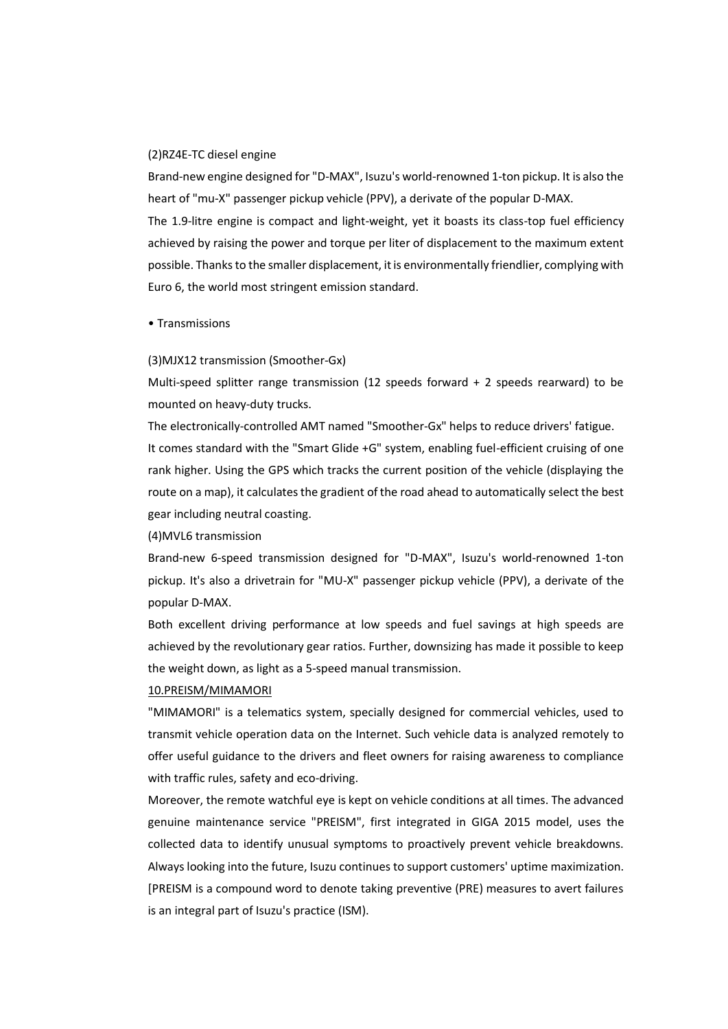## (2)RZ4E-TC diesel engine

Brand-new engine designed for "D-MAX", Isuzu's world-renowned 1-ton pickup. It is also the heart of "mu-X" passenger pickup vehicle (PPV), a derivate of the popular D-MAX.

The 1.9-litre engine is compact and light-weight, yet it boasts its class-top fuel efficiency achieved by raising the power and torque per liter of displacement to the maximum extent possible. Thanks to the smaller displacement, it is environmentally friendlier, complying with Euro 6, the world most stringent emission standard.

#### • Transmissions

### (3)MJX12 transmission (Smoother-Gx)

Multi-speed splitter range transmission (12 speeds forward + 2 speeds rearward) to be mounted on heavy-duty trucks.

The electronically-controlled AMT named "Smoother-Gx" helps to reduce drivers' fatigue. It comes standard with the "Smart Glide +G" system, enabling fuel-efficient cruising of one rank higher. Using the GPS which tracks the current position of the vehicle (displaying the route on a map), it calculates the gradient of the road ahead to automatically select the best gear including neutral coasting.

(4)MVL6 transmission

Brand-new 6-speed transmission designed for "D-MAX", Isuzu's world-renowned 1-ton pickup. It's also a drivetrain for "MU-X" passenger pickup vehicle (PPV), a derivate of the popular D-MAX.

Both excellent driving performance at low speeds and fuel savings at high speeds are achieved by the revolutionary gear ratios. Further, downsizing has made it possible to keep the weight down, as light as a 5-speed manual transmission.

# 10.PREISM/MIMAMORI

"MIMAMORI" is a telematics system, specially designed for commercial vehicles, used to transmit vehicle operation data on the Internet. Such vehicle data is analyzed remotely to offer useful guidance to the drivers and fleet owners for raising awareness to compliance with traffic rules, safety and eco-driving.

Moreover, the remote watchful eye is kept on vehicle conditions at all times. The advanced genuine maintenance service "PREISM", first integrated in GIGA 2015 model, uses the collected data to identify unusual symptoms to proactively prevent vehicle breakdowns. Always looking into the future, Isuzu continues to support customers' uptime maximization. [PREISM is a compound word to denote taking preventive (PRE) measures to avert failures is an integral part of Isuzu's practice (ISM).